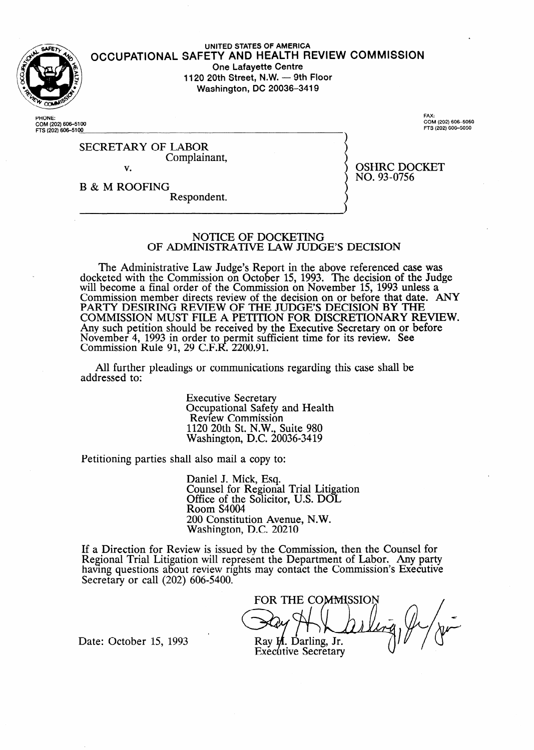

#### **UNITED STATES OF AMERICA OCCUPATIONAL SAFETY AND HEALTH REVIEW COMMISSION One Lafayette Centre 1120 20th Street, N.W. - 9th Floor Washington, DC 20036-3419**

**PHONE: COM (202) 606400 FE (202) 606-S 00** 

**FAX:**<br>COM (202) 606–50 **f='fS (202) 6064050** 

OSHRC DOCKET

NO. 93-0756

SECRETARY OF LABOR Complainant, v.

B & M ROOFING Respondent.

#### NOTICE OF DOCKETING OF ADMINISTRATIVE LAW JUDGE'S DECISION

The Administrative Law Judge's Report in the above referenced case was docketed with the Commission on October 15, 1993. The decision of the Judge will become a final order of the Commission on November 15, 1993 unless a Commission member directs review of the decision on or before that date. ANY PARTY DESIRING REVIEW OF THE JUDGE'S DECISION BY THE COMMISSION MUST FILE A PETITION FOR DISCRETIONARY REVIEW. Any such petition should be received by the Executive Secretary on or before November 4, 1993 in order to permit sufficient time for its review. See Commission Rule 91, 29 C.F.R. 2200.91.

All further pleadings or communications regarding this case shall be addressed to:

> Executive Secretary Occupational Safety and Health Review Commission 1120 20th St. N.W., Suite 980 Washington, D.C. 20036-3419

Petitioning parties shall also mail a copy to:

Daniel J. Mick, Esq. Counsel for Regional Trial Litigation Office of the Solicitor, U.S. DOL Room S4004 200 Constitution Avenue, N.W. Washington, D.C. 20210

If a Direction for Review is issued by the Commission, then the Counsel for Regional Trial Litigation will represent the Department of Labor. Any party having questions about review rights may contact the Commission's Executive Secretary or call (202) 606-5400.

FOR THE COMMISSION  $\left($ **Ray H.** D.

Executive

Date: October 15, 1993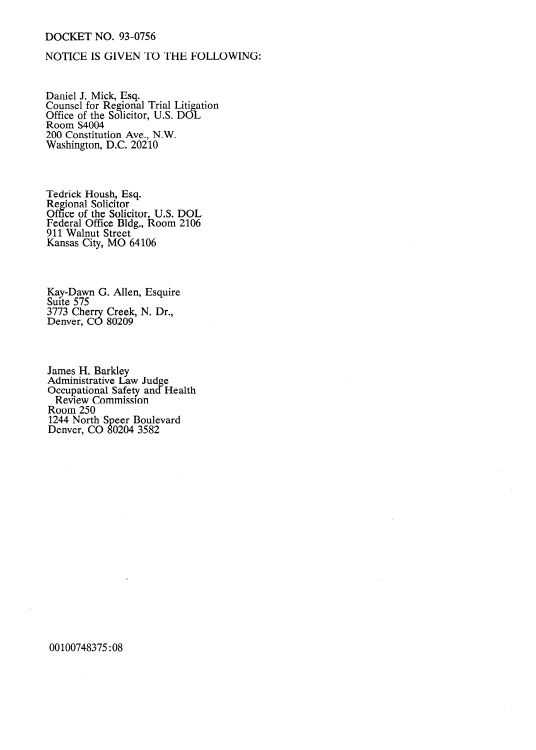### DOCKET NO. 93-0756

### NOTICE IS GIVEN TO THE FOLLOWING:

Daniel J. Mick, Esq. Counsel for Regional Trial Litigation Office of the Solicitor, U.S. DOL Room S4004 200 Constitution Ave., N.W. Washington, D.C. 20210

Tedrick Housil, Esq.<br>Pegional Soligitor Regional Solicitor<br>Office of the Soli Office of the Solicitor, U.S. DOL<br>Eadaral Office Bldg., Boom 2106 Federal Office Bldg., KOOIII 2106<br>011 Wolnut Street 911 Walnut Street Kansas City, MO 64106

Kay-Dawn G. Allen, Esquire Suite 575<br>3773 Chei  $3773$  Cherry Creek,  $11.21$ .,  $\sum$  chiver,  $\sum$  8020209

Administrative La Occupational Safety and H Review Commission  $\mathrm{room}250$ 1244 North Denver, CO 80204 3582 Denver, CO II 0204 3582

00100748375:08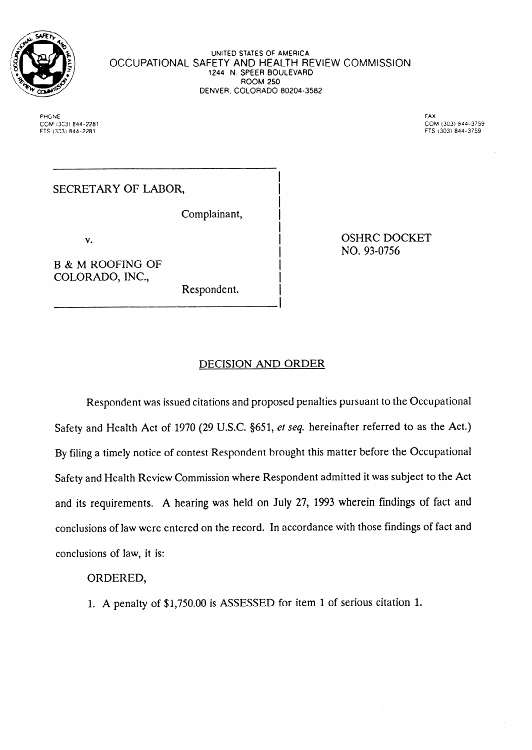

**UNITED STATES OF AMERICA OCCUPATIONAL SAFETY AND HEALTH REVIEW** COMMISSION **1244** N. SPEER BOULEVARD ROOM 250 DENVER, COLORADO 80204-3582

> I I I I I **I**  I I I I

**PHONE FAX cord !33) e44-2281 COM (303) Pd4-3759 FTS (3231 844-2281 FTS (303) 844-3759** 

# SECRETARY OF LABOR,

Complainant,

**V.** 

~-~~ ~

B & M ROOFING OF COLORADO, INC.,

Respondent.

OSHRC DOCKET NO. 93-0756

## DECISION AND ORDER

Respondent was issued citations and proposed penalties pursuant to the Occupational Safety and Health Act of 1970 (29 U.S.C. \$651, *et seq.* hereinafter referred to as the Act.) By filing a timely notice of contest Respondent brought this matter before the Occupational Safety and Health Review Commission where Respondent admitted it was subject to the Act and its requirements. A hearing was held on July 27, 1993 wherein findings of fact and conclusions of law were entered on the record. In accordance with those findings of fact and conclusions of law, it is:

## ORDERED,

1. A penalty of \$1,750.00 is ASSESSED for item 1 of serious citation 1.